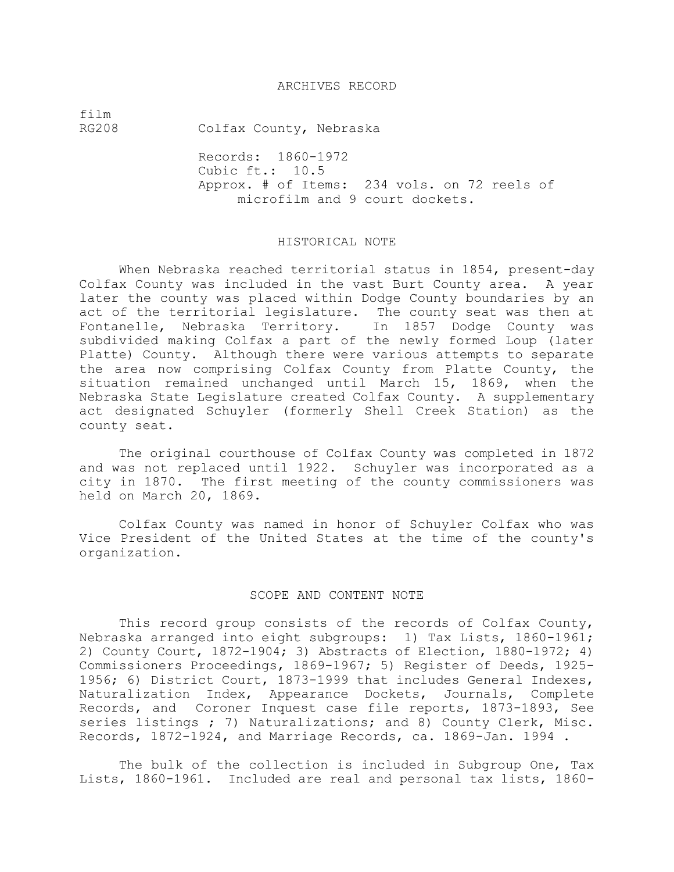### ARCHIVES RECORD

film

RG208 Colfax County, Nebraska

Records: 1860-1972 Cubic ft.: 10.5 Approx. # of Items: 234 vols. on 72 reels of microfilm and 9 court dockets.

#### HISTORICAL NOTE

When Nebraska reached territorial status in 1854, present-day Colfax County was included in the vast Burt County area. A year later the county was placed within Dodge County boundaries by an act of the territorial legislature. The county seat was then at Fontanelle, Nebraska Territory. In 1857 Dodge County was subdivided making Colfax a part of the newly formed Loup (later Platte) County. Although there were various attempts to separate the area now comprising Colfax County from Platte County, the situation remained unchanged until March 15, 1869, when the Nebraska State Legislature created Colfax County. A supplementary act designated Schuyler (formerly Shell Creek Station) as the county seat.

The original courthouse of Colfax County was completed in 1872 and was not replaced until 1922. Schuyler was incorporated as a city in 1870. The first meeting of the county commissioners was held on March 20, 1869.

Colfax County was named in honor of Schuyler Colfax who was Vice President of the United States at the time of the county's organization.

### SCOPE AND CONTENT NOTE

This record group consists of the records of Colfax County, Nebraska arranged into eight subgroups: 1) Tax Lists, 1860-1961; 2) County Court, 1872-1904; 3) Abstracts of Election, 1880-1972; 4) Commissioners Proceedings, 1869-1967; 5) Register of Deeds, 1925- 1956; 6) District Court, 1873-1999 that includes General Indexes, Naturalization Index, Appearance Dockets, Journals, Complete Records, and Coroner Inquest case file reports, 1873-1893, See series listings ; 7) Naturalizations; and 8) County Clerk, Misc. Records, 1872-1924, and Marriage Records, ca. 1869-Jan. 1994 .

The bulk of the collection is included in Subgroup One, Tax Lists, 1860-1961. Included are real and personal tax lists, 1860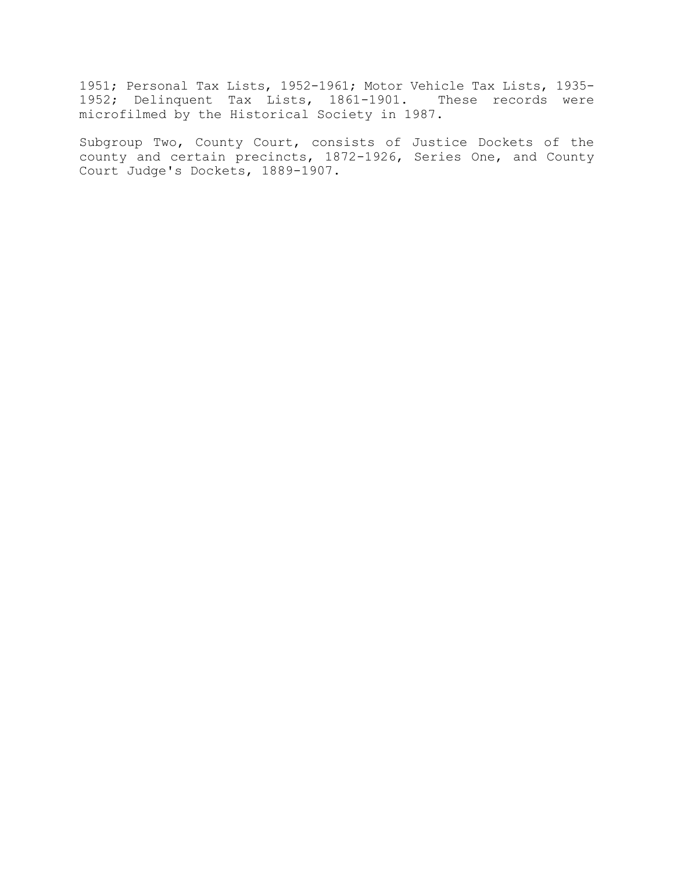1951; Personal Tax Lists, 1952-1961; Motor Vehicle Tax Lists, 1935- 1952; Delinquent Tax Lists, 1861-1901. These records were microfilmed by the Historical Society in 1987.

Subgroup Two, County Court, consists of Justice Dockets of the county and certain precincts, 1872-1926, Series One, and County Court Judge's Dockets, 1889-1907.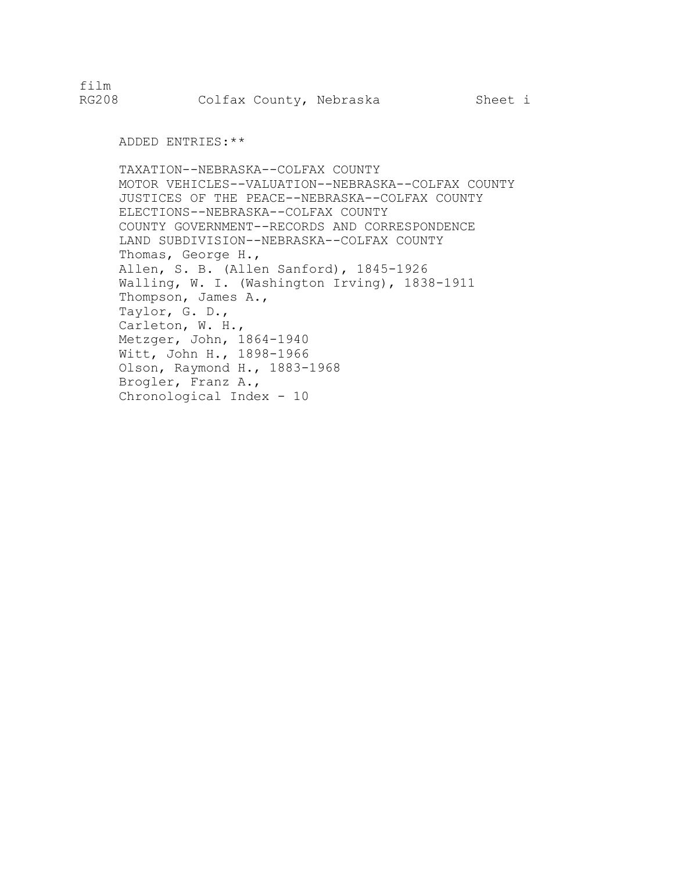film

ADDED ENTRIES:\*\*

TAXATION--NEBRASKA--COLFAX COUNTY MOTOR VEHICLES--VALUATION--NEBRASKA--COLFAX COUNTY JUSTICES OF THE PEACE--NEBRASKA--COLFAX COUNTY ELECTIONS--NEBRASKA--COLFAX COUNTY COUNTY GOVERNMENT--RECORDS AND CORRESPONDENCE LAND SUBDIVISION--NEBRASKA--COLFAX COUNTY Thomas, George H., Allen, S. B. (Allen Sanford), 1845-1926 Walling, W. I. (Washington Irving), 1838-1911 Thompson, James A., Taylor, G. D., Carleton, W. H., Metzger, John, 1864-1940 Witt, John H., 1898-1966 Olson, Raymond H., 1883-1968 Brogler, Franz A., Chronological Index - 10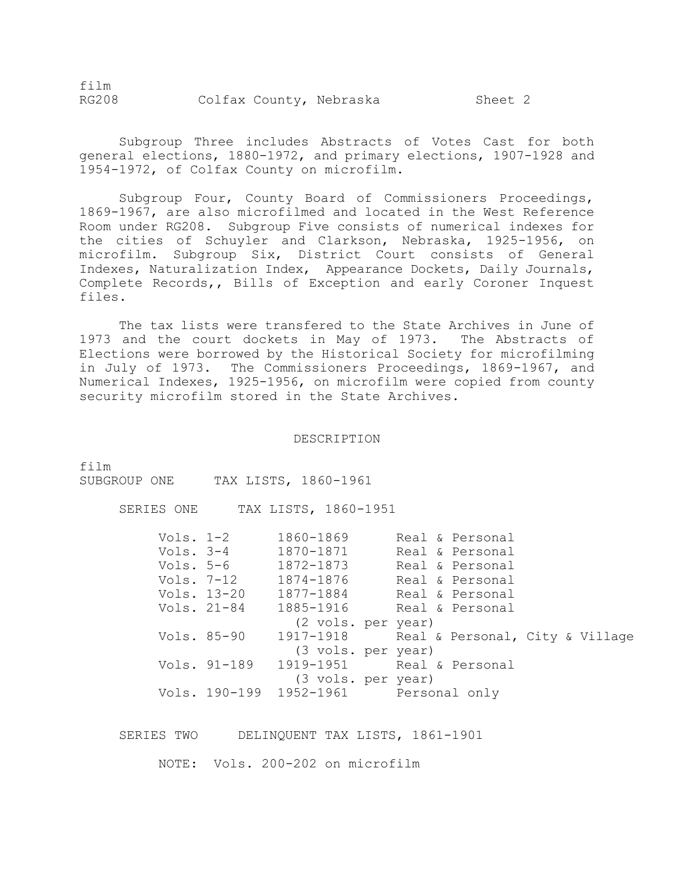film RG208 Colfax County, Nebraska Sheet 2

Subgroup Three includes Abstracts of Votes Cast for both general elections, 1880-1972, and primary elections, 1907-1928 and 1954-1972, of Colfax County on microfilm.

Subgroup Four, County Board of Commissioners Proceedings, 1869-1967, are also microfilmed and located in the West Reference Room under RG208. Subgroup Five consists of numerical indexes for the cities of Schuyler and Clarkson, Nebraska, 1925-1956, on microfilm. Subgroup Six, District Court consists of General Indexes, Naturalization Index, Appearance Dockets, Daily Journals, Complete Records,, Bills of Exception and early Coroner Inquest files.

The tax lists were transfered to the State Archives in June of 1973 and the court dockets in May of 1973. The Abstracts of Elections were borrowed by the Historical Society for microfilming in July of 1973. The Commissioners Proceedings, 1869-1967, and Numerical Indexes, 1925-1956, on microfilm were copied from county security microfilm stored in the State Archives.

DESCRIPTION

film

SUBGROUP ONE TAX LISTS, 1860-1961

SERIES ONE TAX LISTS, 1860-1951

| Vols. $1-2$ |              | 1860-1869                             | Real & Personal                           |  |
|-------------|--------------|---------------------------------------|-------------------------------------------|--|
|             |              | Vols. 3-4 1870-1871                   | Real & Personal                           |  |
|             |              | Vols. 5-6 1872-1873                   | Real & Personal                           |  |
|             |              |                                       | Vols. 7-12 1874-1876 Real & Personal      |  |
|             | Vols. 13-20  |                                       |                                           |  |
|             | Vols. 21-84  |                                       | 1885-1916     Real & Personal             |  |
|             |              | (2 vols. per year)                    |                                           |  |
|             | Vols. 85-90  |                                       | 1917-1918 Real & Personal, City & Village |  |
|             |              | (3 vols. per year)                    |                                           |  |
|             | Vols. 91-189 |                                       | 1919-1951 Real & Personal                 |  |
|             |              | (3 vols. per year)                    |                                           |  |
|             |              | Vols. 190-199 1952-1961 Personal only |                                           |  |
|             |              |                                       |                                           |  |

SERIES TWO DELINQUENT TAX LISTS, 1861-1901

NOTE: Vols. 200-202 on microfilm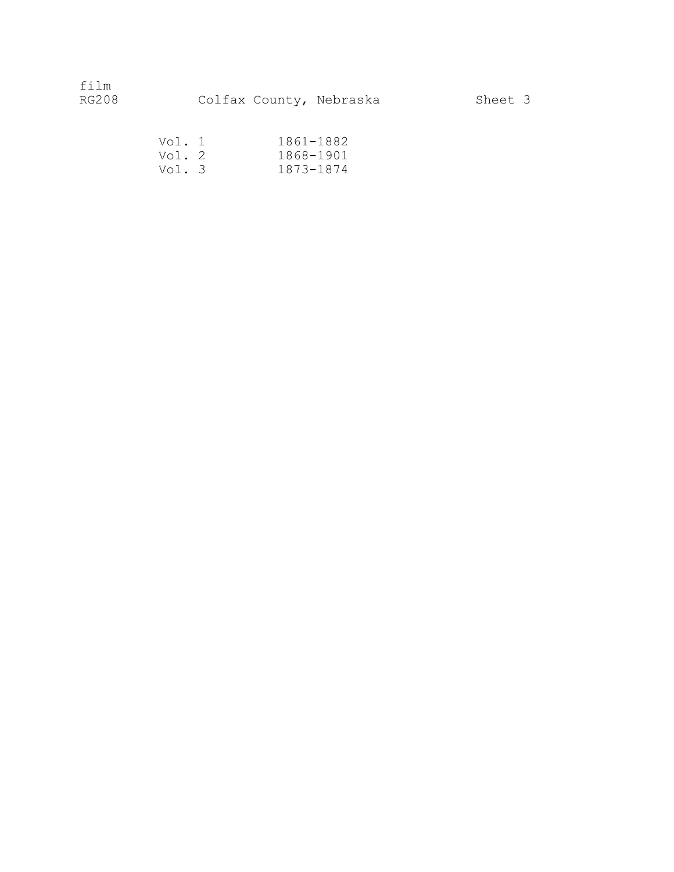| Vol. 1 | 1861-1882 |
|--------|-----------|
| Vol. 2 | 1868-1901 |
| Vol. 3 | 1873-1874 |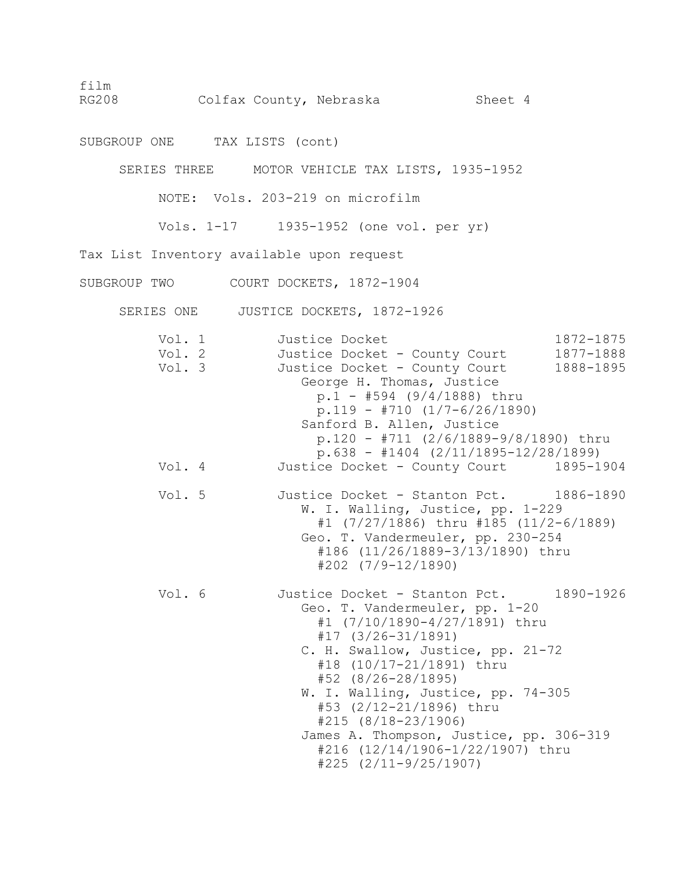RG208 Colfax County, Nebraska Sheet 4

SUBGROUP ONE TAX LISTS (cont)

SERIES THREE MOTOR VEHICLE TAX LISTS, 1935-1952

NOTE: Vols. 203-219 on microfilm

Vols. 1-17 1935-1952 (one vol. per yr)

Tax List Inventory available upon request

SUBGROUP TWO COURT DOCKETS, 1872-1904

SERIES ONE JUSTICE DOCKETS, 1872-1926

| Vol. 1<br>Vol. 2<br>Vol. 3 | Justice Docket<br>Justice Docket - County Court 1877-1888<br>Justice Docket - County Court<br>George H. Thomas, Justice<br>$p.1 - #594 (9/4/1888)$ thru<br>$p.119 - #710 (1/7-6/26/1890)$<br>Sanford B. Allen, Justice<br>$p.120 - #711 (2/6/1889-9/8/1890)$ thru<br>$p.638 - #1404 (2/11/1895-12/28/1899)$                                                                                                                         | 1872-1875<br>1888-1895 |
|----------------------------|-------------------------------------------------------------------------------------------------------------------------------------------------------------------------------------------------------------------------------------------------------------------------------------------------------------------------------------------------------------------------------------------------------------------------------------|------------------------|
| Vol. 4                     | Justice Docket - County Court 1895-1904                                                                                                                                                                                                                                                                                                                                                                                             |                        |
| Vol. 5                     | Justice Docket - Stanton Pct. 1886-1890<br>W. I. Walling, Justice, pp. 1-229<br>#1 (7/27/1886) thru #185 (11/2-6/1889)<br>Geo. T. Vandermeuler, pp. 230-254<br>#186 (11/26/1889-3/13/1890) thru<br>$#202$ $(7/9-12/1890)$                                                                                                                                                                                                           |                        |
| Vol. 6                     | Justice Docket - Stanton Pct. 1890-1926<br>Geo. T. Vandermeuler, pp. 1-20<br>#1 (7/10/1890-4/27/1891) thru<br>$#17$ $(3/26-31/1891)$<br>C. H. Swallow, Justice, pp. 21-72<br>#18 (10/17-21/1891) thru<br>$#52$ (8/26-28/1895)<br>W. I. Walling, Justice, pp. 74-305<br>#53 (2/12-21/1896) thru<br>$#215 (8/18-23/1906)$<br>James A. Thompson, Justice, pp. 306-319<br>#216 (12/14/1906-1/22/1907) thru<br>$#225$ $(2/11-9/25/1907)$ |                        |

film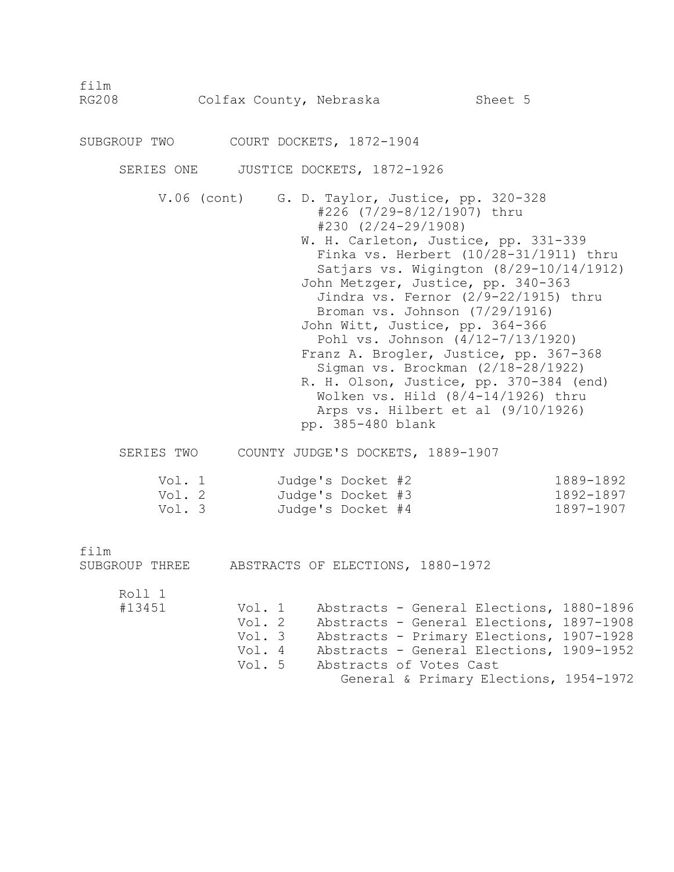| film<br><b>RG208</b>       | Colfax County, Nebraska                        |                                                             | Sheet 5                                                                                                                                                                                                                                                                                                                                                                                                                                                                                                                                                                                      |                                     |
|----------------------------|------------------------------------------------|-------------------------------------------------------------|----------------------------------------------------------------------------------------------------------------------------------------------------------------------------------------------------------------------------------------------------------------------------------------------------------------------------------------------------------------------------------------------------------------------------------------------------------------------------------------------------------------------------------------------------------------------------------------------|-------------------------------------|
| SUBGROUP TWO               |                                                | COURT DOCKETS, 1872-1904                                    |                                                                                                                                                                                                                                                                                                                                                                                                                                                                                                                                                                                              |                                     |
|                            | SERIES ONE JUSTICE DOCKETS, 1872-1926          |                                                             |                                                                                                                                                                                                                                                                                                                                                                                                                                                                                                                                                                                              |                                     |
|                            | $V.06$ (cont)                                  | $#230$ $(2/24-29/1908)$<br>pp. 385-480 blank                | G. D. Taylor, Justice, pp. 320-328<br>#226 (7/29-8/12/1907) thru<br>W. H. Carleton, Justice, pp. 331-339<br>Finka vs. Herbert (10/28-31/1911) thru<br>Satjars vs. Wigington (8/29-10/14/1912)<br>John Metzger, Justice, pp. 340-363<br>Jindra vs. Fernor (2/9-22/1915) thru<br>Broman vs. Johnson (7/29/1916)<br>John Witt, Justice, pp. 364-366<br>Pohl vs. Johnson (4/12-7/13/1920)<br>Franz A. Brogler, Justice, pp. 367-368<br>Sigman vs. Brockman (2/18-28/1922)<br>R. H. Olson, Justice, pp. 370-384 (end)<br>Wolken vs. Hild (8/4-14/1926) thru<br>Arps vs. Hilbert et al (9/10/1926) |                                     |
| SERIES TWO                 |                                                |                                                             | COUNTY JUDGE'S DOCKETS, 1889-1907                                                                                                                                                                                                                                                                                                                                                                                                                                                                                                                                                            |                                     |
| Vol. 1<br>Vol. 2<br>Vol. 3 |                                                | Judge's Docket #2<br>Judge's Docket #3<br>Judge's Docket #4 |                                                                                                                                                                                                                                                                                                                                                                                                                                                                                                                                                                                              | 1889-1892<br>1892-1897<br>1897-1907 |
| film<br>SUBGROUP THREE     | ABSTRACTS OF ELECTIONS, 1880-1972              |                                                             |                                                                                                                                                                                                                                                                                                                                                                                                                                                                                                                                                                                              |                                     |
| Roll 1<br>#13451           | Vol. 1<br>Vol. 2<br>Vol. 3<br>Vol. 4<br>Vol. 5 |                                                             | Abstracts - General Elections, 1880-1896<br>Abstracts - General Elections, 1897-1908<br>Abstracts - Primary Elections, 1907-1928<br>Abstracts - General Elections, 1909-1952<br>Abstracts of Votes Cast<br>General & Primary Elections, 1954-1972                                                                                                                                                                                                                                                                                                                                            |                                     |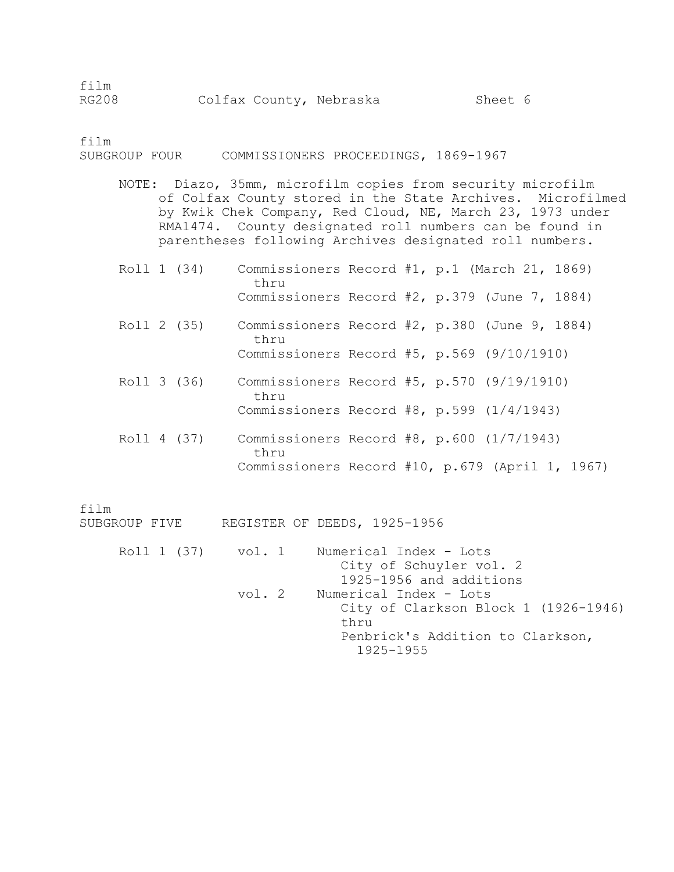| ±ı⊥m  |  |                         |         |  |
|-------|--|-------------------------|---------|--|
| RG208 |  | Colfax County, Nebraska | Sheet 6 |  |

film SUBGROUP FOUR COMMISSIONERS PROCEEDINGS, 1869-1967

- NOTE: Diazo, 35mm, microfilm copies from security microfilm of Colfax County stored in the State Archives. Microfilmed by Kwik Chek Company, Red Cloud, NE, March 23, 1973 under RMA1474. County designated roll numbers can be found in parentheses following Archives designated roll numbers.
- Roll 1 (34) Commissioners Record #1, p.1 (March 21, 1869) thru Commissioners Record #2, p.379 (June 7, 1884)
- Roll 2 (35) Commissioners Record #2, p.380 (June 9, 1884) thru Commissioners Record #5, p.569 (9/10/1910)
- Roll 3 (36) Commissioners Record #5, p.570 (9/19/1910) thru Commissioners Record #8, p.599 (1/4/1943)
- Roll 4 (37) Commissioners Record #8, p.600 (1/7/1943) thru Commissioners Record #10, p.679 (April 1, 1967)

film

SUBGROUP FIVE REGISTER OF DEEDS, 1925-1956

Roll 1 (37) vol. 1 Numerical Index - Lots City of Schuyler vol. 2 1925-1956 and additions vol. 2 Numerical Index - Lots City of Clarkson Block 1 (1926-1946) thru Penbrick's Addition to Clarkson, 1925-1955

 $\epsilon$ in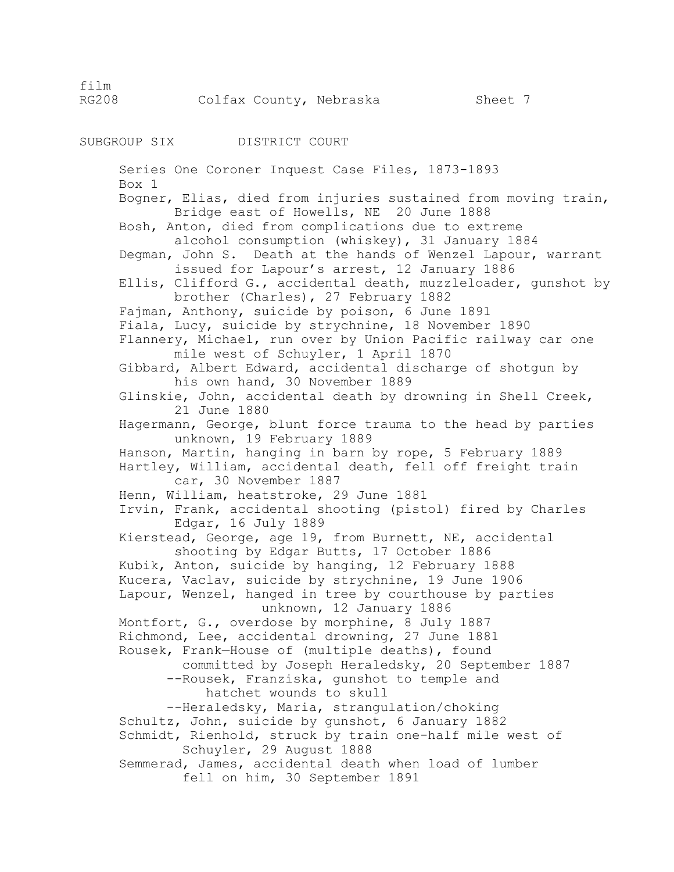RG208 Colfax County, Nebraska Sheet 7

SUBGROUP SIX DISTRICT COURT

 Series One Coroner Inquest Case Files, 1873-1893 Box 1 Bogner, Elias, died from injuries sustained from moving train, Bridge east of Howells, NE 20 June 1888 Bosh, Anton, died from complications due to extreme alcohol consumption (whiskey), 31 January 1884 Degman, John S. Death at the hands of Wenzel Lapour, warrant issued for Lapour's arrest, 12 January 1886 Ellis, Clifford G., accidental death, muzzleloader, gunshot by brother (Charles), 27 February 1882 Fajman, Anthony, suicide by poison, 6 June 1891 Fiala, Lucy, suicide by strychnine, 18 November 1890 Flannery, Michael, run over by Union Pacific railway car one mile west of Schuyler, 1 April 1870 Gibbard, Albert Edward, accidental discharge of shotgun by his own hand, 30 November 1889 Glinskie, John, accidental death by drowning in Shell Creek, 21 June 1880 Hagermann, George, blunt force trauma to the head by parties unknown, 19 February 1889 Hanson, Martin, hanging in barn by rope, 5 February 1889 Hartley, William, accidental death, fell off freight train car, 30 November 1887 Henn, William, heatstroke, 29 June 1881 Irvin, Frank, accidental shooting (pistol) fired by Charles Edgar, 16 July 1889 Kierstead, George, age 19, from Burnett, NE, accidental shooting by Edgar Butts, 17 October 1886 Kubik, Anton, suicide by hanging, 12 February 1888 Kucera, Vaclav, suicide by strychnine, 19 June 1906 Lapour, Wenzel, hanged in tree by courthouse by parties unknown, 12 January 1886 Montfort, G., overdose by morphine, 8 July 1887 Richmond, Lee, accidental drowning, 27 June 1881 Rousek, Frank—House of (multiple deaths), found committed by Joseph Heraledsky, 20 September 1887 --Rousek, Franziska, gunshot to temple and hatchet wounds to skull --Heraledsky, Maria, strangulation/choking Schultz, John, suicide by gunshot, 6 January 1882 Schmidt, Rienhold, struck by train one-half mile west of Schuyler, 29 August 1888 Semmerad, James, accidental death when load of lumber fell on him, 30 September 1891

film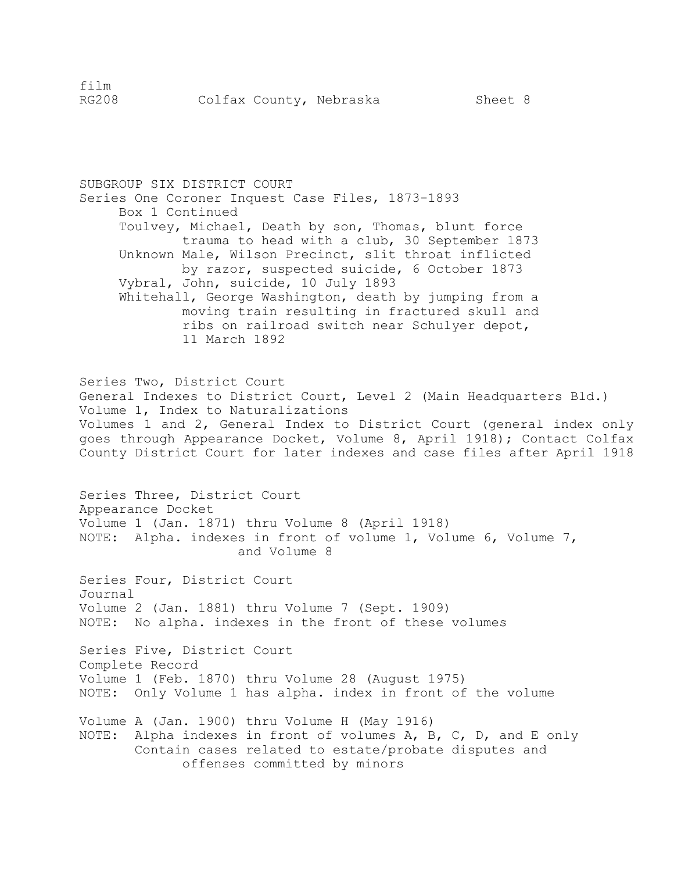SUBGROUP SIX DISTRICT COURT Series One Coroner Inquest Case Files, 1873-1893 Box 1 Continued Toulvey, Michael, Death by son, Thomas, blunt force trauma to head with a club, 30 September 1873 Unknown Male, Wilson Precinct, slit throat inflicted by razor, suspected suicide, 6 October 1873 Vybral, John, suicide, 10 July 1893 Whitehall, George Washington, death by jumping from a moving train resulting in fractured skull and ribs on railroad switch near Schulyer depot, 11 March 1892 Series Two, District Court General Indexes to District Court, Level 2 (Main Headquarters Bld.) Volume 1, Index to Naturalizations Volumes 1 and 2, General Index to District Court (general index only goes through Appearance Docket, Volume 8, April 1918); Contact Colfax County District Court for later indexes and case files after April 1918 Series Three, District Court Appearance Docket Volume 1 (Jan. 1871) thru Volume 8 (April 1918) NOTE: Alpha. indexes in front of volume 1, Volume 6, Volume 7, and Volume 8 Series Four, District Court Journal Volume 2 (Jan. 1881) thru Volume 7 (Sept. 1909) NOTE: No alpha. indexes in the front of these volumes Series Five, District Court Complete Record Volume 1 (Feb. 1870) thru Volume 28 (August 1975) NOTE: Only Volume 1 has alpha. index in front of the volume Volume A (Jan. 1900) thru Volume H (May 1916) NOTE: Alpha indexes in front of volumes A, B, C, D, and E only Contain cases related to estate/probate disputes and offenses committed by minors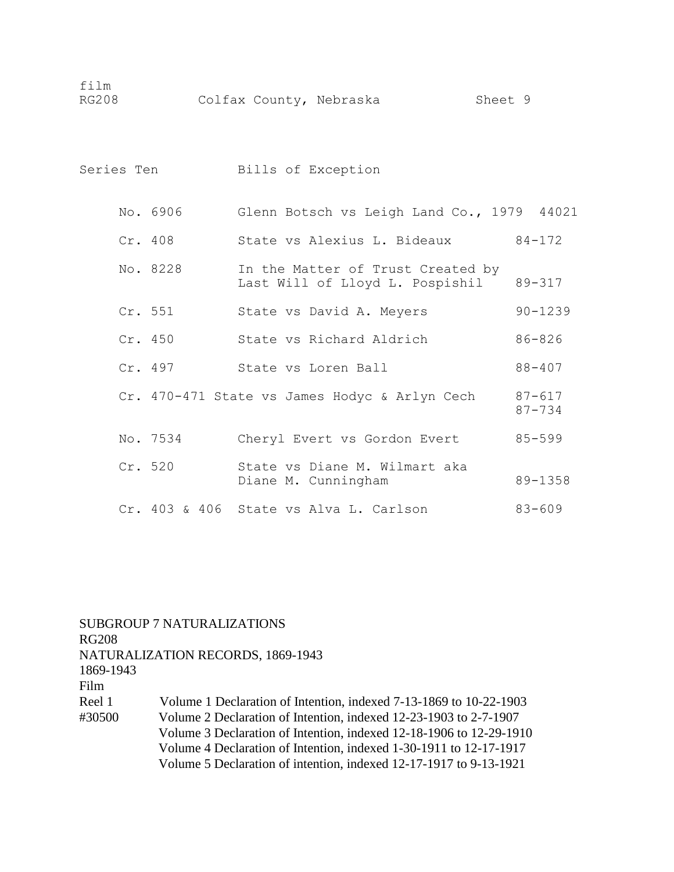| film<br><b>RG208</b> | Colfax County, Nebraska                              |                                                                             | Sheet 9     |
|----------------------|------------------------------------------------------|-----------------------------------------------------------------------------|-------------|
| Series Ten           | Bills of Exception                                   |                                                                             |             |
|                      | No. 6906 Glenn Botsch vs Leigh Land Co., 1979 44021  |                                                                             |             |
| Cr. 408              |                                                      | State vs Alexius L. Bideaux 84-172                                          |             |
| No. 8228             |                                                      | In the Matter of Trust Created by<br>Last Will of Lloyd L. Pospishil 89-317 |             |
| Cr. 551              |                                                      | State vs David A. Meyers                                                    | $90 - 1239$ |
|                      | Cr. 450 State vs Richard Aldrich                     |                                                                             | 86-826      |
| Cr. 497              |                                                      | State vs Loren Ball                                                         | $88 - 407$  |
|                      | Cr. 470-471 State vs James Hodyc & Arlyn Cech 87-617 |                                                                             | $87 - 734$  |
| No. 7534             |                                                      | Cheryl Evert vs Gordon Evert                                                | $85 - 599$  |
| Cr. 520              |                                                      | State vs Diane M. Wilmart aka<br>Diane M. Cunningham                        | 89-1358     |
| $Cr.403$ & 406       |                                                      | State vs Alva L. Carlson                                                    | $83 - 609$  |

SUBGROUP 7 NATURALIZATIONS RG208 NATURALIZATION RECORDS, 1869-1943 1869-1943 Film Reel 1 Volume 1 Declaration of Intention, indexed 7-13-1869 to 10-22-1903 #30500 Volume 2 Declaration of Intention, indexed 12-23-1903 to 2-7-1907 Volume 3 Declaration of Intention, indexed 12-18-1906 to 12-29-1910 Volume 4 Declaration of Intention, indexed 1-30-1911 to 12-17-1917 Volume 5 Declaration of intention, indexed 12-17-1917 to 9-13-1921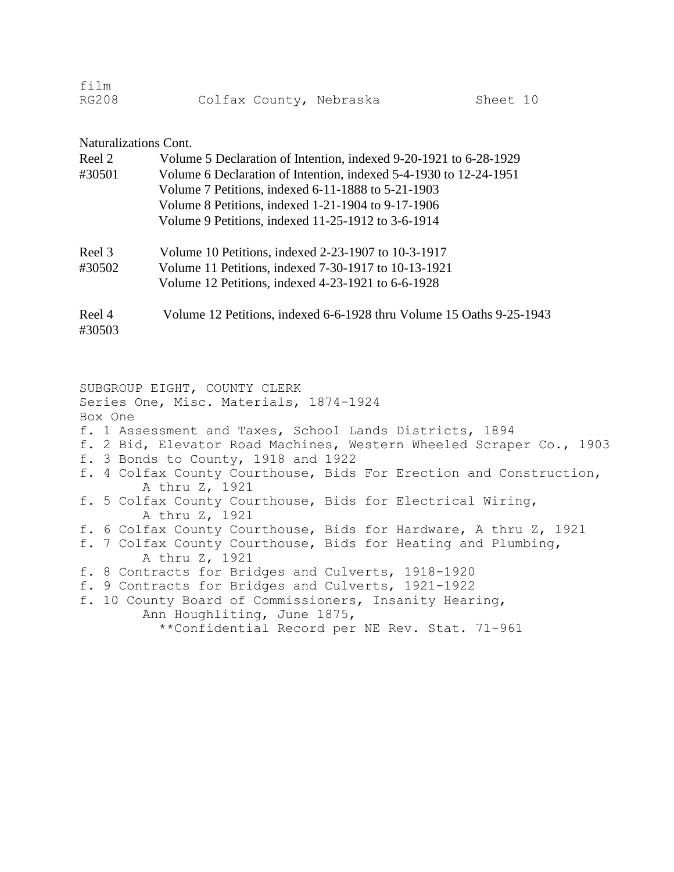| film  |  |                         |          |  |
|-------|--|-------------------------|----------|--|
| RG208 |  | Colfax County, Nebraska | Sheet 10 |  |

# Naturalizations Cont.

| Reel 2           | Volume 5 Declaration of Intention, indexed 9-20-1921 to 6-28-1929    |  |  |  |
|------------------|----------------------------------------------------------------------|--|--|--|
| #30501           | Volume 6 Declaration of Intention, indexed 5-4-1930 to 12-24-1951    |  |  |  |
|                  | Volume 7 Petitions, indexed 6-11-1888 to 5-21-1903                   |  |  |  |
|                  | Volume 8 Petitions, indexed 1-21-1904 to 9-17-1906                   |  |  |  |
|                  | Volume 9 Petitions, indexed 11-25-1912 to 3-6-1914                   |  |  |  |
| Reel 3           | Volume 10 Petitions, indexed 2-23-1907 to 10-3-1917                  |  |  |  |
| #30502           | Volume 11 Petitions, indexed 7-30-1917 to 10-13-1921                 |  |  |  |
|                  | Volume 12 Petitions, indexed 4-23-1921 to 6-6-1928                   |  |  |  |
| Reel 4<br>#30503 | Volume 12 Petitions, indexed 6-6-1928 thru Volume 15 Oaths 9-25-1943 |  |  |  |

SUBGROUP EIGHT, COUNTY CLERK Series One, Misc. Materials, 1874-1924 Box One f. 1 Assessment and Taxes, School Lands Districts, 1894 f. 2 Bid, Elevator Road Machines, Western Wheeled Scraper Co., 1903 f. 3 Bonds to County, 1918 and 1922 f. 4 Colfax County Courthouse, Bids For Erection and Construction, A thru Z, 1921 f. 5 Colfax County Courthouse, Bids for Electrical Wiring, A thru Z, 1921 f. 6 Colfax County Courthouse, Bids for Hardware, A thru Z, 1921 f. 7 Colfax County Courthouse, Bids for Heating and Plumbing, A thru Z, 1921 f. 8 Contracts for Bridges and Culverts, 1918-1920 f. 9 Contracts for Bridges and Culverts, 1921-1922 f. 10 County Board of Commissioners, Insanity Hearing, Ann Houghliting, June 1875, \*\*Confidential Record per NE Rev. Stat. 71-961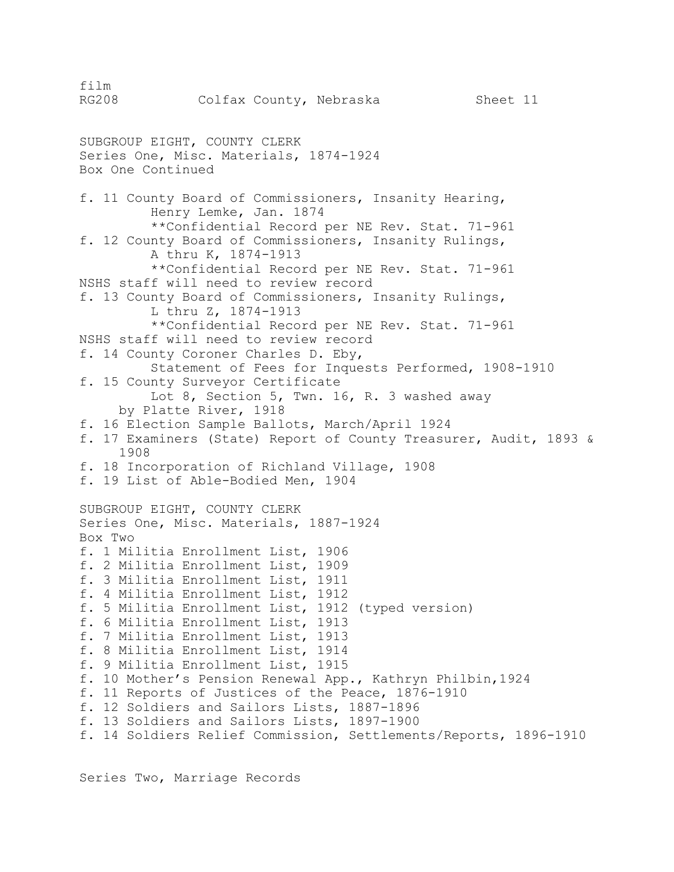film RG208 Colfax County, Nebraska Sheet 11 SUBGROUP EIGHT, COUNTY CLERK Series One, Misc. Materials, 1874-1924 Box One Continued f. 11 County Board of Commissioners, Insanity Hearing, Henry Lemke, Jan. 1874 \*\*Confidential Record per NE Rev. Stat. 71-961 f. 12 County Board of Commissioners, Insanity Rulings, A thru K, 1874-1913 \*\*Confidential Record per NE Rev. Stat. 71-961 NSHS staff will need to review record f. 13 County Board of Commissioners, Insanity Rulings, L thru Z, 1874-1913 \*\*Confidential Record per NE Rev. Stat. 71-961 NSHS staff will need to review record f. 14 County Coroner Charles D. Eby, Statement of Fees for Inquests Performed, 1908-1910 f. 15 County Surveyor Certificate Lot 8, Section 5, Twn. 16, R. 3 washed away by Platte River, 1918 f. 16 Election Sample Ballots, March/April 1924 f. 17 Examiners (State) Report of County Treasurer, Audit, 1893 & 1908 f. 18 Incorporation of Richland Village, 1908 f. 19 List of Able-Bodied Men, 1904 SUBGROUP EIGHT, COUNTY CLERK Series One, Misc. Materials, 1887-1924 Box Two f. 1 Militia Enrollment List, 1906 f. 2 Militia Enrollment List, 1909 f. 3 Militia Enrollment List, 1911 f. 4 Militia Enrollment List, 1912 f. 5 Militia Enrollment List, 1912 (typed version) f. 6 Militia Enrollment List, 1913 f. 7 Militia Enrollment List, 1913 f. 8 Militia Enrollment List, 1914 f. 9 Militia Enrollment List, 1915 f. 10 Mother's Pension Renewal App., Kathryn Philbin,1924 f. 11 Reports of Justices of the Peace, 1876-1910 f. 12 Soldiers and Sailors Lists, 1887-1896 f. 13 Soldiers and Sailors Lists, 1897-1900 f. 14 Soldiers Relief Commission, Settlements/Reports, 1896-1910

Series Two, Marriage Records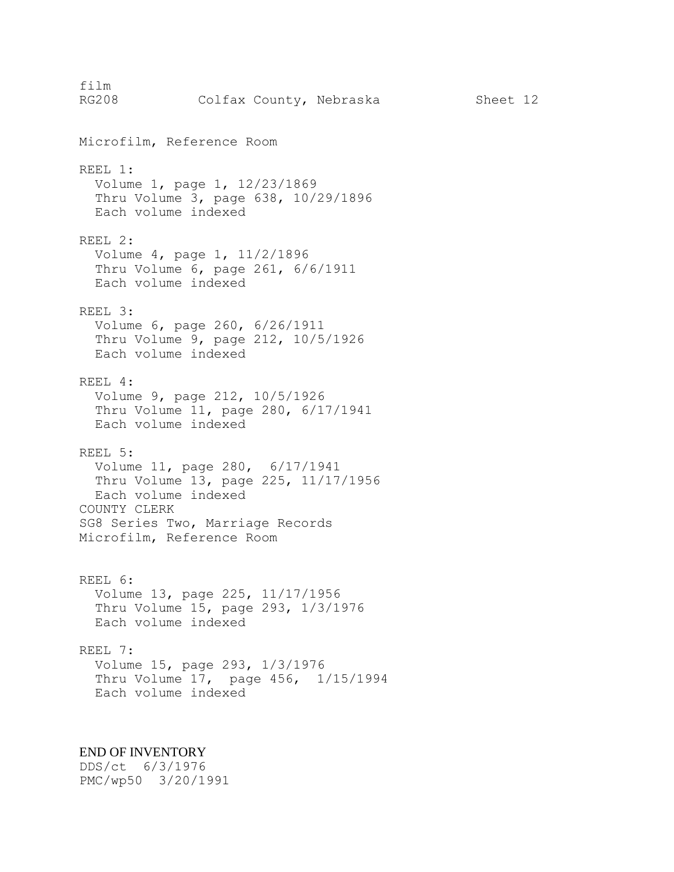film RG208 Colfax County, Nebraska Sheet 12 Microfilm, Reference Room REEL 1: Volume 1, page 1, 12/23/1869 Thru Volume 3, page 638, 10/29/1896 Each volume indexed REEL 2: Volume 4, page 1, 11/2/1896 Thru Volume 6, page 261, 6/6/1911 Each volume indexed REEL 3: Volume 6, page 260, 6/26/1911 Thru Volume 9, page 212, 10/5/1926 Each volume indexed REEL 4: Volume 9, page 212, 10/5/1926 Thru Volume 11, page 280, 6/17/1941 Each volume indexed REEL 5: Volume 11, page 280, 6/17/1941 Thru Volume 13, page 225, 11/17/1956 Each volume indexed COUNTY CLERK SG8 Series Two, Marriage Records Microfilm, Reference Room REEL 6: Volume 13, page 225, 11/17/1956 Thru Volume 15, page 293, 1/3/1976 Each volume indexed REEL 7: Volume 15, page 293, 1/3/1976 Thru Volume 17, page 456, 1/15/1994 Each volume indexed

# END OF INVENTORY

DDS/ct 6/3/1976 PMC/wp50 3/20/1991